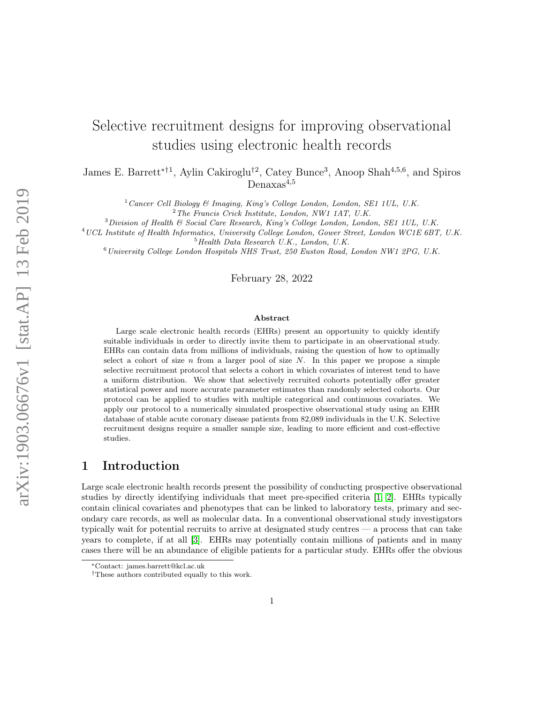# arXiv:1903.06676v1 [stat.AP] 13 Feb 2019 arXiv:1903.06676v1 [stat.AP] 13 Feb 2019

# Selective recruitment designs for improving observational studies using electronic health records

James E. Barrett<sup>\*†1</sup>, Aylin Cakiroglu<sup>†2</sup>, Catey Bunce<sup>3</sup>, Anoop Shah<sup>4,5,6</sup>, and Spiros Denaxas<sup>4,5</sup>

 $1$  Cancer Cell Biology & Imaging, King's College London, London, SE1 1UL, U.K.

 $3$ Division of Health & Social Care Research, King's College London, London, SE1 1UL, U.K.

<sup>4</sup>UCL Institute of Health Informatics, University College London, Gower Street, London WC1E 6BT, U.K.  $5$ Health Data Research U.K., London, U.K.

 $6$ University College London Hospitals NHS Trust, 250 Euston Road, London NW1 2PG, U.K.

February 28, 2022

#### Abstract

Large scale electronic health records (EHRs) present an opportunity to quickly identify suitable individuals in order to directly invite them to participate in an observational study. EHRs can contain data from millions of individuals, raising the question of how to optimally select a cohort of size  $n$  from a larger pool of size  $N$ . In this paper we propose a simple selective recruitment protocol that selects a cohort in which covariates of interest tend to have a uniform distribution. We show that selectively recruited cohorts potentially offer greater statistical power and more accurate parameter estimates than randomly selected cohorts. Our protocol can be applied to studies with multiple categorical and continuous covariates. We apply our protocol to a numerically simulated prospective observational study using an EHR database of stable acute coronary disease patients from 82,089 individuals in the U.K. Selective recruitment designs require a smaller sample size, leading to more efficient and cost-effective studies.

# 1 Introduction

Large scale electronic health records present the possibility of conducting prospective observational studies by directly identifying individuals that meet pre-specified criteria [\[1,](#page-9-0) [2\]](#page-9-1). EHRs typically contain clinical covariates and phenotypes that can be linked to laboratory tests, primary and secondary care records, as well as molecular data. In a conventional observational study investigators typically wait for potential recruits to arrive at designated study centres — a process that can take years to complete, if at all [\[3\]](#page-9-2). EHRs may potentially contain millions of patients and in many cases there will be an abundance of eligible patients for a particular study. EHRs offer the obvious

 $2$  The Francis Crick Institute, London, NW1 1AT, U.K.

<sup>∗</sup>Contact: james.barrett@kcl.ac.uk

<sup>†</sup>These authors contributed equally to this work.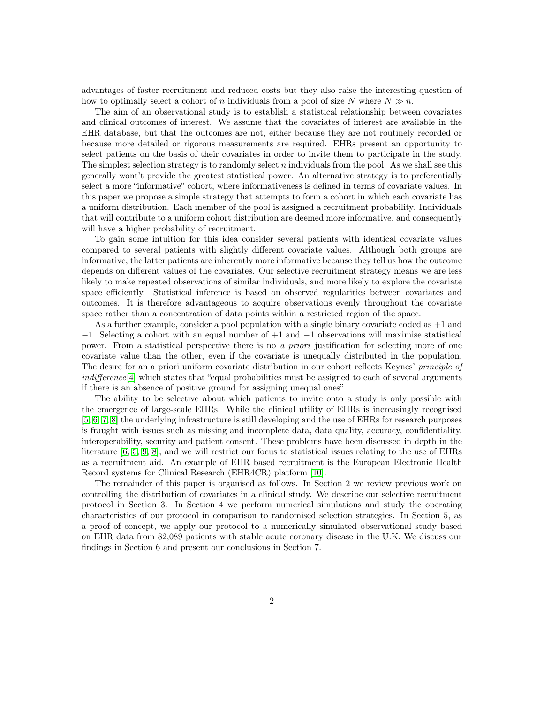advantages of faster recruitment and reduced costs but they also raise the interesting question of how to optimally select a cohort of n individuals from a pool of size N where  $N \gg n$ .

The aim of an observational study is to establish a statistical relationship between covariates and clinical outcomes of interest. We assume that the covariates of interest are available in the EHR database, but that the outcomes are not, either because they are not routinely recorded or because more detailed or rigorous measurements are required. EHRs present an opportunity to select patients on the basis of their covariates in order to invite them to participate in the study. The simplest selection strategy is to randomly select  $n$  individuals from the pool. As we shall see this generally wont't provide the greatest statistical power. An alternative strategy is to preferentially select a more "informative" cohort, where informativeness is defined in terms of covariate values. In this paper we propose a simple strategy that attempts to form a cohort in which each covariate has a uniform distribution. Each member of the pool is assigned a recruitment probability. Individuals that will contribute to a uniform cohort distribution are deemed more informative, and consequently will have a higher probability of recruitment.

To gain some intuition for this idea consider several patients with identical covariate values compared to several patients with slightly different covariate values. Although both groups are informative, the latter patients are inherently more informative because they tell us how the outcome depends on different values of the covariates. Our selective recruitment strategy means we are less likely to make repeated observations of similar individuals, and more likely to explore the covariate space efficiently. Statistical inference is based on observed regularities between covariates and outcomes. It is therefore advantageous to acquire observations evenly throughout the covariate space rather than a concentration of data points within a restricted region of the space.

As a further example, consider a pool population with a single binary covariate coded as +1 and −1. Selecting a cohort with an equal number of +1 and −1 observations will maximise statistical power. From a statistical perspective there is no a *priori* justification for selecting more of one covariate value than the other, even if the covariate is unequally distributed in the population. The desire for an a priori uniform covariate distribution in our cohort reflects Keynes' principle of indifference<sup>[\[4\]](#page-9-3)</sup> which states that "equal probabilities must be assigned to each of several arguments if there is an absence of positive ground for assigning unequal ones".

The ability to be selective about which patients to invite onto a study is only possible with the emergence of large-scale EHRs. While the clinical utility of EHRs is increasingly recognised [\[5,](#page-10-0) [6,](#page-10-1) [7,](#page-10-2) [8\]](#page-10-3) the underlying infrastructure is still developing and the use of EHRs for research purposes is fraught with issues such as missing and incomplete data, data quality, accuracy, confidentiality, interoperability, security and patient consent. These problems have been discussed in depth in the literature [\[6,](#page-10-1) [5,](#page-10-0) [9,](#page-10-4) [8\]](#page-10-3), and we will restrict our focus to statistical issues relating to the use of EHRs as a recruitment aid. An example of EHR based recruitment is the European Electronic Health Record systems for Clinical Research (EHR4CR) platform [\[10\]](#page-10-5).

The remainder of this paper is organised as follows. In Section 2 we review previous work on controlling the distribution of covariates in a clinical study. We describe our selective recruitment protocol in Section 3. In Section 4 we perform numerical simulations and study the operating characteristics of our protocol in comparison to randomised selection strategies. In Section 5, as a proof of concept, we apply our protocol to a numerically simulated observational study based on EHR data from 82,089 patients with stable acute coronary disease in the U.K. We discuss our findings in Section 6 and present our conclusions in Section 7.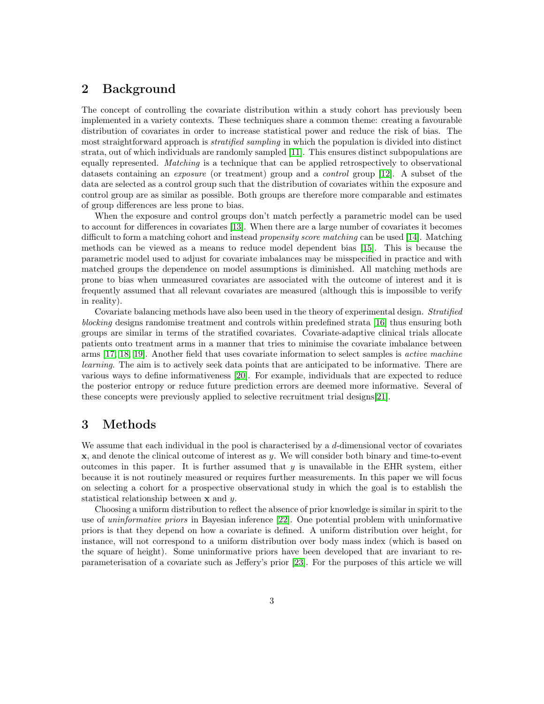# 2 Background

The concept of controlling the covariate distribution within a study cohort has previously been implemented in a variety contexts. These techniques share a common theme: creating a favourable distribution of covariates in order to increase statistical power and reduce the risk of bias. The most straightforward approach is *stratified sampling* in which the population is divided into distinct strata, out of which individuals are randomly sampled [\[11\]](#page-10-6). This ensures distinct subpopulations are equally represented. Matching is a technique that can be applied retrospectively to observational datasets containing an *exposure* (or treatment) group and a *control* group [\[12\]](#page-10-7). A subset of the data are selected as a control group such that the distribution of covariates within the exposure and control group are as similar as possible. Both groups are therefore more comparable and estimates of group differences are less prone to bias.

When the exposure and control groups don't match perfectly a parametric model can be used to account for differences in covariates [\[13\]](#page-10-8). When there are a large number of covariates it becomes difficult to form a matching cohort and instead *propensity score matching* can be used [\[14\]](#page-10-9). Matching methods can be viewed as a means to reduce model dependent bias [\[15\]](#page-10-10). This is because the parametric model used to adjust for covariate imbalances may be misspecified in practice and with matched groups the dependence on model assumptions is diminished. All matching methods are prone to bias when unmeasured covariates are associated with the outcome of interest and it is frequently assumed that all relevant covariates are measured (although this is impossible to verify in reality).

Covariate balancing methods have also been used in the theory of experimental design. Stratified blocking designs randomise treatment and controls within predefined strata [\[16\]](#page-10-11) thus ensuring both groups are similar in terms of the stratified covariates. Covariate-adaptive clinical trials allocate patients onto treatment arms in a manner that tries to minimise the covariate imbalance between arms [\[17,](#page-10-12) [18,](#page-10-13) [19\]](#page-10-14). Another field that uses covariate information to select samples is active machine learning. The aim is to actively seek data points that are anticipated to be informative. There are various ways to define informativeness [\[20\]](#page-10-15). For example, individuals that are expected to reduce the posterior entropy or reduce future prediction errors are deemed more informative. Several of these concepts were previously applied to selective recruitment trial designs[\[21\]](#page-11-0).

# 3 Methods

We assume that each individual in the pool is characterised by a d-dimensional vector of covariates  $x$ , and denote the clinical outcome of interest as y. We will consider both binary and time-to-event outcomes in this paper. It is further assumed that  $y$  is unavailable in the EHR system, either because it is not routinely measured or requires further measurements. In this paper we will focus on selecting a cohort for a prospective observational study in which the goal is to establish the statistical relationship between x and y.

Choosing a uniform distribution to reflect the absence of prior knowledge is similar in spirit to the use of uninformative priors in Bayesian inference [\[22\]](#page-11-1). One potential problem with uninformative priors is that they depend on how a covariate is defined. A uniform distribution over height, for instance, will not correspond to a uniform distribution over body mass index (which is based on the square of height). Some uninformative priors have been developed that are invariant to reparameterisation of a covariate such as Jeffery's prior [\[23\]](#page-11-2). For the purposes of this article we will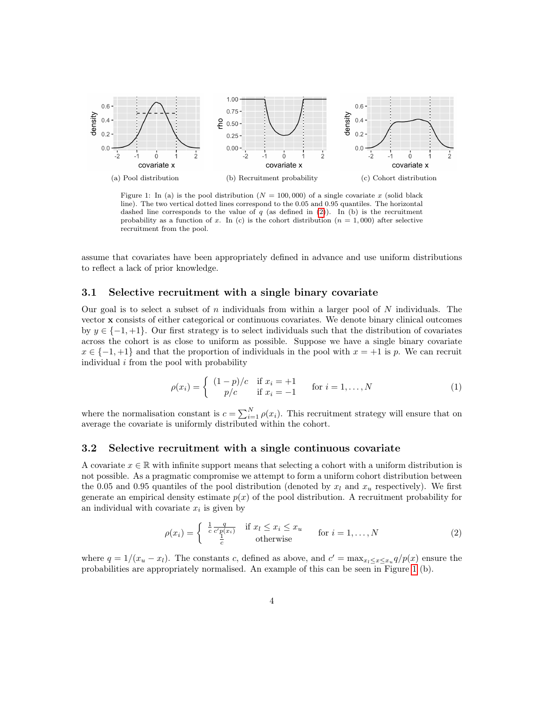<span id="page-3-1"></span>

Figure 1: In (a) is the pool distribution ( $N = 100,000$ ) of a single covariate x (solid black line). The two vertical dotted lines correspond to the 0.05 and 0.95 quantiles. The horizontal dashed line corresponds to the value of  $q$  (as defined in [\(2\)](#page-3-0)). In (b) is the recruitment probability as a function of x. In (c) is the cohort distribution  $(n = 1,000)$  after selective recruitment from the pool.

assume that covariates have been appropriately defined in advance and use uniform distributions to reflect a lack of prior knowledge.

#### 3.1 Selective recruitment with a single binary covariate

Our goal is to select a subset of n individuals from within a larger pool of  $N$  individuals. The vector x consists of either categorical or continuous covariates. We denote binary clinical outcomes by  $y \in \{-1, +1\}$ . Our first strategy is to select individuals such that the distribution of covariates across the cohort is as close to uniform as possible. Suppose we have a single binary covariate  $x \in \{-1, +1\}$  and that the proportion of individuals in the pool with  $x = +1$  is p. We can recruit individual  $i$  from the pool with probability

<span id="page-3-2"></span>
$$
\rho(x_i) = \begin{cases} (1-p)/c & \text{if } x_i = +1 \\ p/c & \text{if } x_i = -1 \end{cases} \quad \text{for } i = 1, ..., N
$$
 (1)

where the normalisation constant is  $c = \sum_{i=1}^{N} \rho(x_i)$ . This recruitment strategy will ensure that on average the covariate is uniformly distributed within the cohort.

#### 3.2 Selective recruitment with a single continuous covariate

A covariate  $x \in \mathbb{R}$  with infinite support means that selecting a cohort with a uniform distribution is not possible. As a pragmatic compromise we attempt to form a uniform cohort distribution between the 0.05 and 0.95 quantiles of the pool distribution (denoted by  $x_l$  and  $x_u$  respectively). We first generate an empirical density estimate  $p(x)$  of the pool distribution. A recruitment probability for an individual with covariate  $x_i$  is given by

<span id="page-3-0"></span>
$$
\rho(x_i) = \begin{cases} \frac{1}{c} \frac{q}{c'p(x_i)} & \text{if } x_i \le x_i \le x_u \\ \frac{1}{c} & \text{otherwise} \end{cases} \quad \text{for } i = 1, ..., N \tag{2}
$$

where  $q = 1/(x_u - x_l)$ . The constants c, defined as above, and  $c' = \max_{x_l \leq x \leq x_u} q/p(x)$  ensure the probabilities are appropriately normalised. An example of this can be seen in Figure [1](#page-3-1) (b).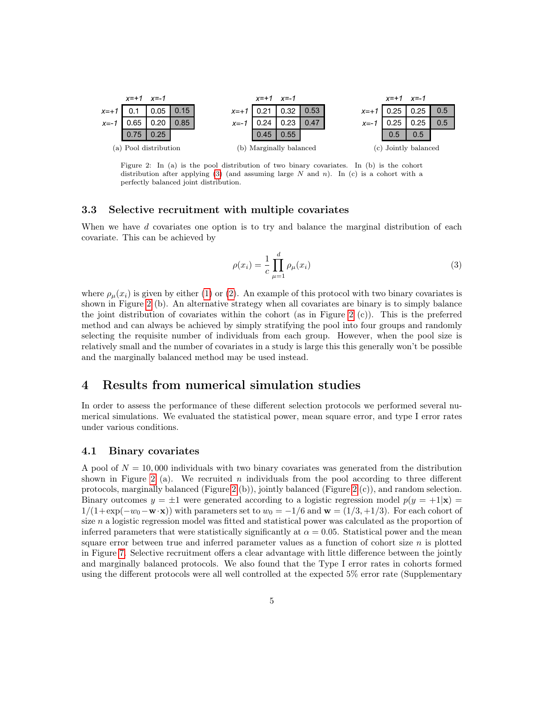<span id="page-4-1"></span>

Figure 2: In (a) is the pool distribution of two binary covariates. In (b) is the cohort distribution after applying [\(3\)](#page-4-0) (and assuming large N and n). In (c) is a cohort with a perfectly balanced joint distribution.

#### 3.3 Selective recruitment with multiple covariates

When we have d covariates one option is to try and balance the marginal distribution of each covariate. This can be achieved by

<span id="page-4-0"></span>
$$
\rho(x_i) = \frac{1}{c} \prod_{\mu=1}^{d} \rho_{\mu}(x_i)
$$
\n(3)

where  $\rho_{\mu}(x_i)$  is given by either [\(1\)](#page-3-2) or [\(2\)](#page-3-0). An example of this protocol with two binary covariates is shown in Figure [2](#page-4-1) (b). An alternative strategy when all covariates are binary is to simply balance the joint distribution of covariates within the cohort (as in Figure [2](#page-4-1)  $(c)$ ). This is the preferred method and can always be achieved by simply stratifying the pool into four groups and randomly selecting the requisite number of individuals from each group. However, when the pool size is relatively small and the number of covariates in a study is large this this generally won't be possible and the marginally balanced method may be used instead.

# 4 Results from numerical simulation studies

In order to assess the performance of these different selection protocols we performed several numerical simulations. We evaluated the statistical power, mean square error, and type I error rates under various conditions.

#### 4.1 Binary covariates

A pool of  $N = 10,000$  individuals with two binary covariates was generated from the distribution shown in Figure [2](#page-4-1) (a). We recruited n individuals from the pool according to three different protocols, marginally balanced (Figure [2](#page-4-1) (b)), jointly balanced (Figure 2 (c)), and random selection. Binary outcomes  $y = \pm 1$  were generated according to a logistic regression model  $p(y = +1|\mathbf{x}) =$  $1/(1+\exp(-w_0-\mathbf{w}\cdot\mathbf{x}))$  with parameters set to  $w_0=-1/6$  and  $\mathbf{w}=(1/3,1/3)$ . For each cohort of size  $n$  a logistic regression model was fitted and statistical power was calculated as the proportion of inferred parameters that were statistically significantly at  $\alpha = 0.05$ . Statistical power and the mean square error between true and inferred parameter values as a function of cohort size  $n$  is plotted in Figure [7.](#page-13-0) Selective recruitment offers a clear advantage with little difference between the jointly and marginally balanced protocols. We also found that the Type I error rates in cohorts formed using the different protocols were all well controlled at the expected 5% error rate (Supplementary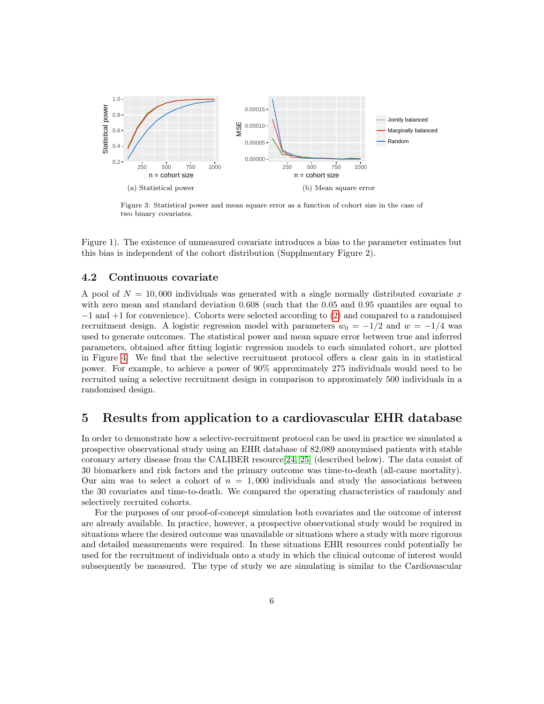

Figure 3: Statistical power and mean square error as a function of cohort size in the case of two binary covariates.

Figure 1). The existence of unmeasured covariate introduces a bias to the parameter estimates but this bias is independent of the cohort distribution (Supplmentary Figure 2).

#### 4.2 Continuous covariate

A pool of  $N = 10,000$  individuals was generated with a single normally distributed covariate x with zero mean and standard deviation 0.608 (such that the 0.05 and 0.95 quantiles are equal to −1 and +1 for convenience). Cohorts were selected according to [\(2\)](#page-3-0) and compared to a randomised recruitment design. A logistic regression model with parameters  $w_0 = -1/2$  and  $w = -1/4$  was used to generate outcomes. The statistical power and mean square error between true and inferred parameters, obtained after fitting logistic regression models to each simulated cohort, are plotted in Figure [4.](#page-6-0) We find that the selective recruitment protocol offers a clear gain in in statistical power. For example, to achieve a power of 90% approximately 275 individuals would need to be recruited using a selective recruitment design in comparison to approximately 500 individuals in a randomised design.

# 5 Results from application to a cardiovascular EHR database

In order to demonstrate how a selective-recruitment protocol can be used in practice we simulated a prospective observational study using an EHR database of 82,089 anonymised patients with stable coronary artery disease from the CALIBER resource[\[24,](#page-11-3) [25\]](#page-11-4) (described below). The data consist of 30 biomarkers and risk factors and the primary outcome was time-to-death (all-cause mortality). Our aim was to select a cohort of  $n = 1,000$  individuals and study the associations between the 30 covariates and time-to-death. We compared the operating characteristics of randomly and selectively recruited cohorts.

For the purposes of our proof-of-concept simulation both covariates and the outcome of interest are already available. In practice, however, a prospective observational study would be required in situations where the desired outcome was unavailable or situations where a study with more rigorous and detailed measurements were required. In these situations EHR resources could potentially be used for the recruitment of individuals onto a study in which the clinical outcome of interest would subsequently be measured. The type of study we are simulating is similar to the Cardiovascular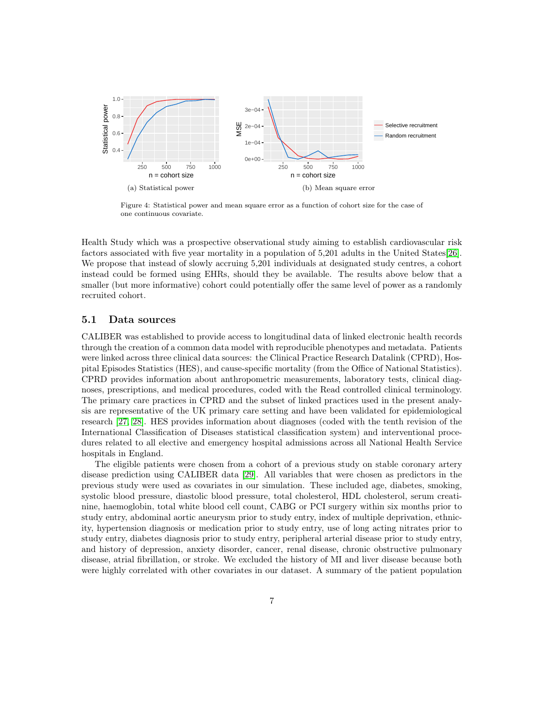<span id="page-6-0"></span>

Figure 4: Statistical power and mean square error as a function of cohort size for the case of one continuous covariate.

Health Study which was a prospective observational study aiming to establish cardiovascular risk factors associated with five year mortality in a population of 5,201 adults in the United States[\[26\]](#page-11-5). We propose that instead of slowly accruing 5,201 individuals at designated study centres, a cohort instead could be formed using EHRs, should they be available. The results above below that a smaller (but more informative) cohort could potentially offer the same level of power as a randomly recruited cohort.

#### 5.1 Data sources

CALIBER was established to provide access to longitudinal data of linked electronic health records through the creation of a common data model with reproducible phenotypes and metadata. Patients were linked across three clinical data sources: the Clinical Practice Research Datalink (CPRD), Hospital Episodes Statistics (HES), and cause-specific mortality (from the Office of National Statistics). CPRD provides information about anthropometric measurements, laboratory tests, clinical diagnoses, prescriptions, and medical procedures, coded with the Read controlled clinical terminology. The primary care practices in CPRD and the subset of linked practices used in the present analysis are representative of the UK primary care setting and have been validated for epidemiological research [\[27,](#page-11-6) [28\]](#page-11-7). HES provides information about diagnoses (coded with the tenth revision of the International Classification of Diseases statistical classification system) and interventional procedures related to all elective and emergency hospital admissions across all National Health Service hospitals in England.

The eligible patients were chosen from a cohort of a previous study on stable coronary artery disease prediction using CALIBER data [\[29\]](#page-11-8). All variables that were chosen as predictors in the previous study were used as covariates in our simulation. These included age, diabetes, smoking, systolic blood pressure, diastolic blood pressure, total cholesterol, HDL cholesterol, serum creatinine, haemoglobin, total white blood cell count, CABG or PCI surgery within six months prior to study entry, abdominal aortic aneurysm prior to study entry, index of multiple deprivation, ethnicity, hypertension diagnosis or medication prior to study entry, use of long acting nitrates prior to study entry, diabetes diagnosis prior to study entry, peripheral arterial disease prior to study entry, and history of depression, anxiety disorder, cancer, renal disease, chronic obstructive pulmonary disease, atrial fibrillation, or stroke. We excluded the history of MI and liver disease because both were highly correlated with other covariates in our dataset. A summary of the patient population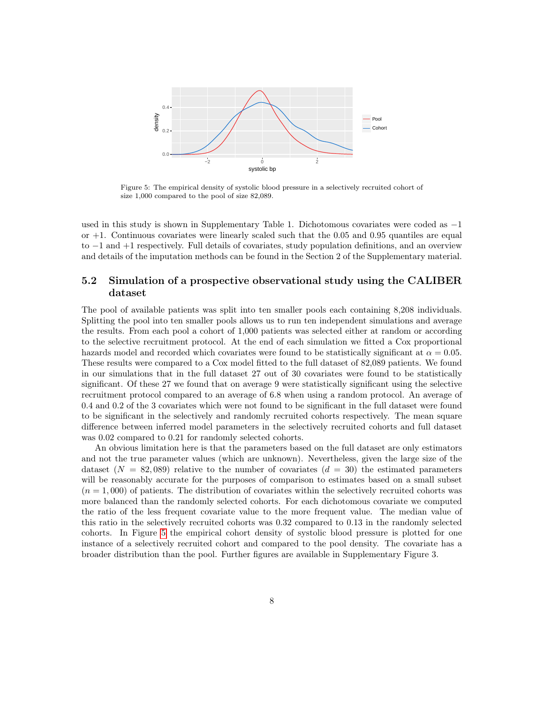<span id="page-7-0"></span>

Figure 5: The empirical density of systolic blood pressure in a selectively recruited cohort of size 1,000 compared to the pool of size 82,089.

used in this study is shown in Supplementary Table 1. Dichotomous covariates were coded as −1 or +1. Continuous covariates were linearly scaled such that the 0.05 and 0.95 quantiles are equal to −1 and +1 respectively. Full details of covariates, study population definitions, and an overview and details of the imputation methods can be found in the Section 2 of the Supplementary material.

#### 5.2 Simulation of a prospective observational study using the CALIBER dataset

The pool of available patients was split into ten smaller pools each containing 8,208 individuals. Splitting the pool into ten smaller pools allows us to run ten independent simulations and average the results. From each pool a cohort of 1,000 patients was selected either at random or according to the selective recruitment protocol. At the end of each simulation we fitted a Cox proportional hazards model and recorded which covariates were found to be statistically significant at  $\alpha = 0.05$ . These results were compared to a Cox model fitted to the full dataset of 82,089 patients. We found in our simulations that in the full dataset 27 out of 30 covariates were found to be statistically significant. Of these 27 we found that on average 9 were statistically significant using the selective recruitment protocol compared to an average of 6.8 when using a random protocol. An average of 0.4 and 0.2 of the 3 covariates which were not found to be significant in the full dataset were found to be significant in the selectively and randomly recruited cohorts respectively. The mean square difference between inferred model parameters in the selectively recruited cohorts and full dataset was 0.02 compared to 0.21 for randomly selected cohorts.

An obvious limitation here is that the parameters based on the full dataset are only estimators and not the true parameter values (which are unknown). Nevertheless, given the large size of the dataset  $(N = 82,089)$  relative to the number of covariates  $(d = 30)$  the estimated parameters will be reasonably accurate for the purposes of comparison to estimates based on a small subset  $(n = 1,000)$  of patients. The distribution of covariates within the selectively recruited cohorts was more balanced than the randomly selected cohorts. For each dichotomous covariate we computed the ratio of the less frequent covariate value to the more frequent value. The median value of this ratio in the selectively recruited cohorts was 0.32 compared to 0.13 in the randomly selected cohorts. In Figure [5](#page-7-0) the empirical cohort density of systolic blood pressure is plotted for one instance of a selectively recruited cohort and compared to the pool density. The covariate has a broader distribution than the pool. Further figures are available in Supplementary Figure 3.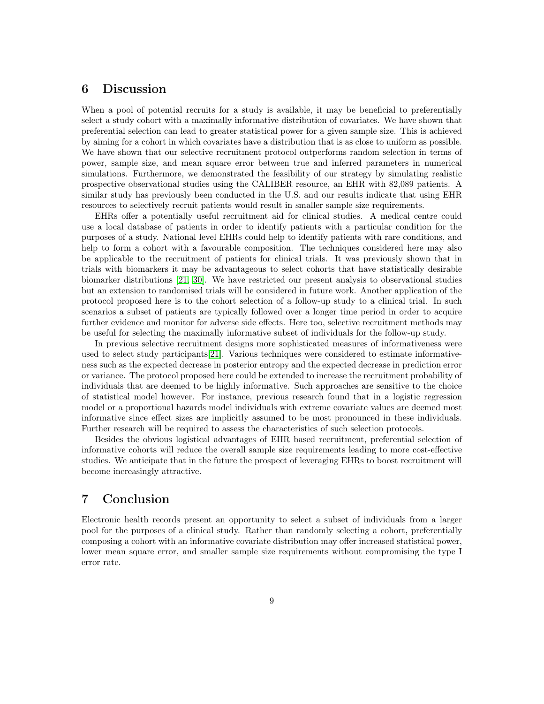### 6 Discussion

When a pool of potential recruits for a study is available, it may be beneficial to preferentially select a study cohort with a maximally informative distribution of covariates. We have shown that preferential selection can lead to greater statistical power for a given sample size. This is achieved by aiming for a cohort in which covariates have a distribution that is as close to uniform as possible. We have shown that our selective recruitment protocol outperforms random selection in terms of power, sample size, and mean square error between true and inferred parameters in numerical simulations. Furthermore, we demonstrated the feasibility of our strategy by simulating realistic prospective observational studies using the CALIBER resource, an EHR with 82,089 patients. A similar study has previously been conducted in the U.S. and our results indicate that using EHR resources to selectively recruit patients would result in smaller sample size requirements.

EHRs offer a potentially useful recruitment aid for clinical studies. A medical centre could use a local database of patients in order to identify patients with a particular condition for the purposes of a study. National level EHRs could help to identify patients with rare conditions, and help to form a cohort with a favourable composition. The techniques considered here may also be applicable to the recruitment of patients for clinical trials. It was previously shown that in trials with biomarkers it may be advantageous to select cohorts that have statistically desirable biomarker distributions [\[21,](#page-11-0) [30\]](#page-11-9). We have restricted our present analysis to observational studies but an extension to randomised trials will be considered in future work. Another application of the protocol proposed here is to the cohort selection of a follow-up study to a clinical trial. In such scenarios a subset of patients are typically followed over a longer time period in order to acquire further evidence and monitor for adverse side effects. Here too, selective recruitment methods may be useful for selecting the maximally informative subset of individuals for the follow-up study.

In previous selective recruitment designs more sophisticated measures of informativeness were used to select study participants[\[21\]](#page-11-0). Various techniques were considered to estimate informativeness such as the expected decrease in posterior entropy and the expected decrease in prediction error or variance. The protocol proposed here could be extended to increase the recruitment probability of individuals that are deemed to be highly informative. Such approaches are sensitive to the choice of statistical model however. For instance, previous research found that in a logistic regression model or a proportional hazards model individuals with extreme covariate values are deemed most informative since effect sizes are implicitly assumed to be most pronounced in these individuals. Further research will be required to assess the characteristics of such selection protocols.

Besides the obvious logistical advantages of EHR based recruitment, preferential selection of informative cohorts will reduce the overall sample size requirements leading to more cost-effective studies. We anticipate that in the future the prospect of leveraging EHRs to boost recruitment will become increasingly attractive.

# 7 Conclusion

Electronic health records present an opportunity to select a subset of individuals from a larger pool for the purposes of a clinical study. Rather than randomly selecting a cohort, preferentially composing a cohort with an informative covariate distribution may offer increased statistical power, lower mean square error, and smaller sample size requirements without compromising the type I error rate.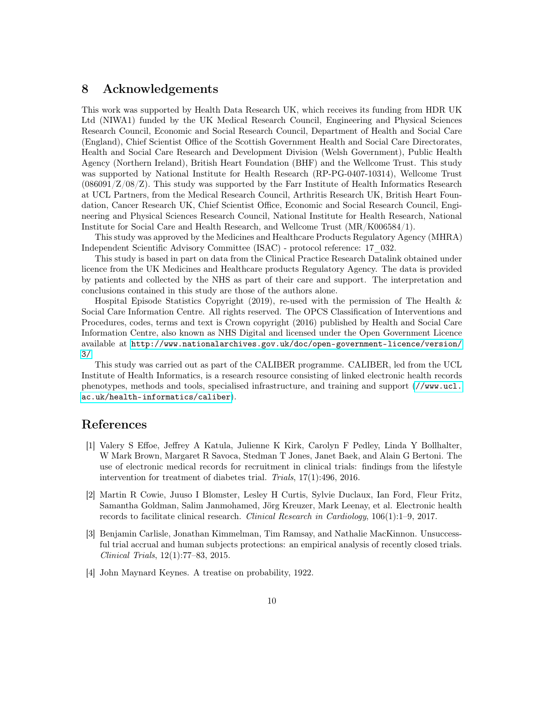# 8 Acknowledgements

This work was supported by Health Data Research UK, which receives its funding from HDR UK Ltd (NIWA1) funded by the UK Medical Research Council, Engineering and Physical Sciences Research Council, Economic and Social Research Council, Department of Health and Social Care (England), Chief Scientist Office of the Scottish Government Health and Social Care Directorates, Health and Social Care Research and Development Division (Welsh Government), Public Health Agency (Northern Ireland), British Heart Foundation (BHF) and the Wellcome Trust. This study was supported by National Institute for Health Research (RP-PG-0407-10314), Wellcome Trust  $(086091/Z/08/Z)$ . This study was supported by the Farr Institute of Health Informatics Research at UCL Partners, from the Medical Research Council, Arthritis Research UK, British Heart Foundation, Cancer Research UK, Chief Scientist Office, Economic and Social Research Council, Engineering and Physical Sciences Research Council, National Institute for Health Research, National Institute for Social Care and Health Research, and Wellcome Trust (MR/K006584/1).

This study was approved by the Medicines and Healthcare Products Regulatory Agency (MHRA) Independent Scientific Advisory Committee (ISAC) - protocol reference: 17\_032.

This study is based in part on data from the Clinical Practice Research Datalink obtained under licence from the UK Medicines and Healthcare products Regulatory Agency. The data is provided by patients and collected by the NHS as part of their care and support. The interpretation and conclusions contained in this study are those of the authors alone.

Hospital Episode Statistics Copyright (2019), re-used with the permission of The Health & Social Care Information Centre. All rights reserved. The OPCS Classification of Interventions and Procedures, codes, terms and text is Crown copyright (2016) published by Health and Social Care Information Centre, also known as NHS Digital and licensed under the Open Government Licence available at [http://www.nationalarchives.gov.uk/doc/open-government-licence/version/](http://www.nationalarchives.gov.uk/doc/open-government-licence/version/3/) [3/](http://www.nationalarchives.gov.uk/doc/open-government-licence/version/3/)

This study was carried out as part of the CALIBER programme. CALIBER, led from the UCL Institute of Health Informatics, is a research resource consisting of linked electronic health records phenotypes, methods and tools, specialised infrastructure, and training and support ([//www.ucl.](//www.ucl.ac.uk/health-informatics/caliber) [ac.uk/health-informatics/caliber](//www.ucl.ac.uk/health-informatics/caliber)).

# References

- <span id="page-9-0"></span>[1] Valery S Effoe, Jeffrey A Katula, Julienne K Kirk, Carolyn F Pedley, Linda Y Bollhalter, W Mark Brown, Margaret R Savoca, Stedman T Jones, Janet Baek, and Alain G Bertoni. The use of electronic medical records for recruitment in clinical trials: findings from the lifestyle intervention for treatment of diabetes trial. Trials, 17(1):496, 2016.
- <span id="page-9-1"></span>[2] Martin R Cowie, Juuso I Blomster, Lesley H Curtis, Sylvie Duclaux, Ian Ford, Fleur Fritz, Samantha Goldman, Salim Janmohamed, Jörg Kreuzer, Mark Leenay, et al. Electronic health records to facilitate clinical research. Clinical Research in Cardiology, 106(1):1–9, 2017.
- <span id="page-9-2"></span>[3] Benjamin Carlisle, Jonathan Kimmelman, Tim Ramsay, and Nathalie MacKinnon. Unsuccessful trial accrual and human subjects protections: an empirical analysis of recently closed trials. Clinical Trials, 12(1):77–83, 2015.
- <span id="page-9-3"></span>[4] John Maynard Keynes. A treatise on probability, 1922.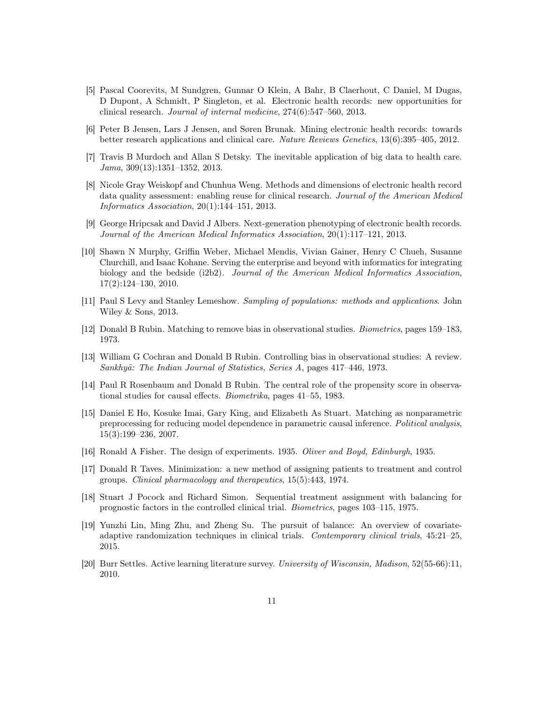- <span id="page-10-0"></span>[5] Pascal Coorevits, M Sundgren, Gunnar O Klein, A Bahr, B Claerhout, C Daniel, M Dugas, D Dupont, A Schmidt, P Singleton, et al. Electronic health records: new opportunities for clinical research. Journal of internal medicine, 274(6):547–560, 2013.
- <span id="page-10-1"></span>[6] Peter B Jensen, Lars J Jensen, and Søren Brunak. Mining electronic health records: towards better research applications and clinical care. Nature Reviews Genetics, 13(6):395–405, 2012.
- <span id="page-10-2"></span>[7] Travis B Murdoch and Allan S Detsky. The inevitable application of big data to health care. Jama, 309(13):1351–1352, 2013.
- <span id="page-10-3"></span>[8] Nicole Gray Weiskopf and Chunhua Weng. Methods and dimensions of electronic health record data quality assessment: enabling reuse for clinical research. Journal of the American Medical Informatics Association, 20(1):144–151, 2013.
- <span id="page-10-4"></span>[9] George Hripcsak and David J Albers. Next-generation phenotyping of electronic health records. Journal of the American Medical Informatics Association, 20(1):117–121, 2013.
- <span id="page-10-5"></span>[10] Shawn N Murphy, Griffin Weber, Michael Mendis, Vivian Gainer, Henry C Chueh, Susanne Churchill, and Isaac Kohane. Serving the enterprise and beyond with informatics for integrating biology and the bedside (i2b2). Journal of the American Medical Informatics Association, 17(2):124–130, 2010.
- <span id="page-10-6"></span>[11] Paul S Levy and Stanley Lemeshow. Sampling of populations: methods and applications. John Wiley & Sons, 2013.
- <span id="page-10-7"></span>[12] Donald B Rubin. Matching to remove bias in observational studies. Biometrics, pages 159–183, 1973.
- <span id="page-10-8"></span>[13] William G Cochran and Donald B Rubin. Controlling bias in observational studies: A review. Sankhy $\bar{a}$ : The Indian Journal of Statistics, Series A, pages 417–446, 1973.
- <span id="page-10-9"></span>[14] Paul R Rosenbaum and Donald B Rubin. The central role of the propensity score in observational studies for causal effects. Biometrika, pages 41–55, 1983.
- <span id="page-10-10"></span>[15] Daniel E Ho, Kosuke Imai, Gary King, and Elizabeth As Stuart. Matching as nonparametric preprocessing for reducing model dependence in parametric causal inference. Political analysis, 15(3):199–236, 2007.
- <span id="page-10-11"></span>[16] Ronald A Fisher. The design of experiments. 1935. Oliver and Boyd, Edinburgh, 1935.
- <span id="page-10-12"></span>[17] Donald R Taves. Minimization: a new method of assigning patients to treatment and control groups. Clinical pharmacology and therapeutics, 15(5):443, 1974.
- <span id="page-10-13"></span>[18] Stuart J Pocock and Richard Simon. Sequential treatment assignment with balancing for prognostic factors in the controlled clinical trial. Biometrics, pages 103–115, 1975.
- <span id="page-10-14"></span>[19] Yunzhi Lin, Ming Zhu, and Zheng Su. The pursuit of balance: An overview of covariateadaptive randomization techniques in clinical trials. Contemporary clinical trials, 45:21–25, 2015.
- <span id="page-10-15"></span>[20] Burr Settles. Active learning literature survey. University of Wisconsin, Madison, 52(55-66):11, 2010.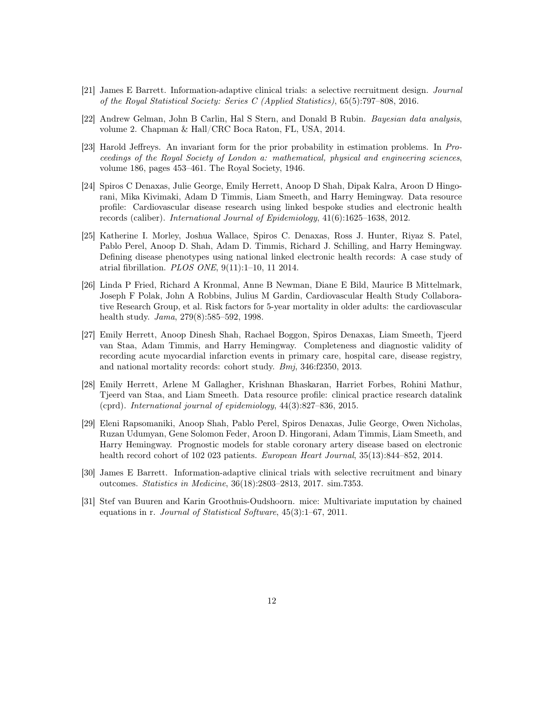- <span id="page-11-0"></span>[21] James E Barrett. Information-adaptive clinical trials: a selective recruitment design. Journal of the Royal Statistical Society: Series C (Applied Statistics), 65(5):797–808, 2016.
- <span id="page-11-1"></span>[22] Andrew Gelman, John B Carlin, Hal S Stern, and Donald B Rubin. Bayesian data analysis, volume 2. Chapman & Hall/CRC Boca Raton, FL, USA, 2014.
- <span id="page-11-2"></span>[23] Harold Jeffreys. An invariant form for the prior probability in estimation problems. In Proceedings of the Royal Society of London a: mathematical, physical and engineering sciences, volume 186, pages 453–461. The Royal Society, 1946.
- <span id="page-11-3"></span>[24] Spiros C Denaxas, Julie George, Emily Herrett, Anoop D Shah, Dipak Kalra, Aroon D Hingorani, Mika Kivimaki, Adam D Timmis, Liam Smeeth, and Harry Hemingway. Data resource profile: Cardiovascular disease research using linked bespoke studies and electronic health records (caliber). International Journal of Epidemiology, 41(6):1625–1638, 2012.
- <span id="page-11-4"></span>[25] Katherine I. Morley, Joshua Wallace, Spiros C. Denaxas, Ross J. Hunter, Riyaz S. Patel, Pablo Perel, Anoop D. Shah, Adam D. Timmis, Richard J. Schilling, and Harry Hemingway. Defining disease phenotypes using national linked electronic health records: A case study of atrial fibrillation. PLOS ONE, 9(11):1–10, 11 2014.
- <span id="page-11-5"></span>[26] Linda P Fried, Richard A Kronmal, Anne B Newman, Diane E Bild, Maurice B Mittelmark, Joseph F Polak, John A Robbins, Julius M Gardin, Cardiovascular Health Study Collaborative Research Group, et al. Risk factors for 5-year mortality in older adults: the cardiovascular health study. Jama, 279(8):585–592, 1998.
- <span id="page-11-6"></span>[27] Emily Herrett, Anoop Dinesh Shah, Rachael Boggon, Spiros Denaxas, Liam Smeeth, Tjeerd van Staa, Adam Timmis, and Harry Hemingway. Completeness and diagnostic validity of recording acute myocardial infarction events in primary care, hospital care, disease registry, and national mortality records: cohort study. Bmj, 346:f2350, 2013.
- <span id="page-11-7"></span>[28] Emily Herrett, Arlene M Gallagher, Krishnan Bhaskaran, Harriet Forbes, Rohini Mathur, Tjeerd van Staa, and Liam Smeeth. Data resource profile: clinical practice research datalink (cprd). International journal of epidemiology, 44(3):827–836, 2015.
- <span id="page-11-8"></span>[29] Eleni Rapsomaniki, Anoop Shah, Pablo Perel, Spiros Denaxas, Julie George, Owen Nicholas, Ruzan Udumyan, Gene Solomon Feder, Aroon D. Hingorani, Adam Timmis, Liam Smeeth, and Harry Hemingway. Prognostic models for stable coronary artery disease based on electronic health record cohort of 102 023 patients. European Heart Journal, 35(13):844–852, 2014.
- <span id="page-11-9"></span>[30] James E Barrett. Information-adaptive clinical trials with selective recruitment and binary outcomes. Statistics in Medicine, 36(18):2803–2813, 2017. sim.7353.
- <span id="page-11-10"></span>[31] Stef van Buuren and Karin Groothuis-Oudshoorn. mice: Multivariate imputation by chained equations in r. Journal of Statistical Software, 45(3):1–67, 2011.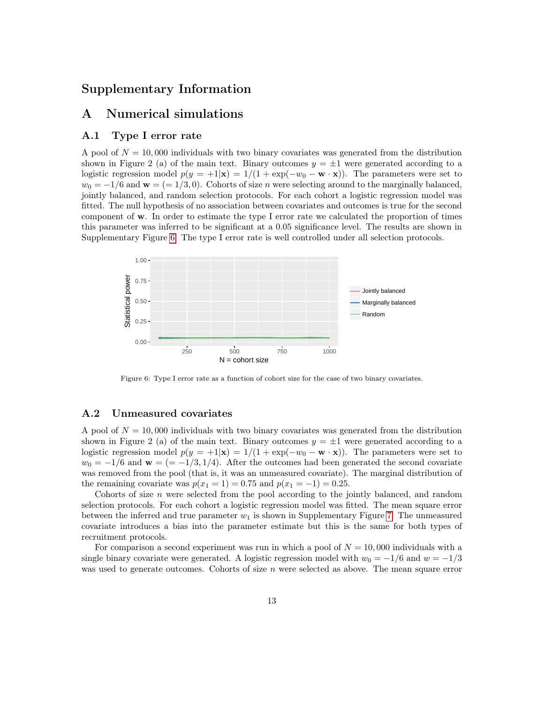# Supplementary Information

# A Numerical simulations

#### A.1 Type I error rate

A pool of  $N = 10,000$  individuals with two binary covariates was generated from the distribution shown in Figure 2 (a) of the main text. Binary outcomes  $y = \pm 1$  were generated according to a logistic regression model  $p(y = +1|\mathbf{x}) = 1/(1 + \exp(-w_0 - \mathbf{w} \cdot \mathbf{x}))$ . The parameters were set to  $w_0 = -1/6$  and  $\mathbf{w} = (0.1/3, 0)$ . Cohorts of size n were selecting around to the marginally balanced, jointly balanced, and random selection protocols. For each cohort a logistic regression model was fitted. The null hypothesis of no association between covariates and outcomes is true for the second component of w. In order to estimate the type I error rate we calculated the proportion of times this parameter was inferred to be significant at a 0.05 significance level. The results are shown in Supplementary Figure [6.](#page-12-0) The type I error rate is well controlled under all selection protocols.

<span id="page-12-0"></span>

Figure 6: Type I error rate as a function of cohort size for the case of two binary covariates.

#### A.2 Unmeasured covariates

A pool of  $N = 10,000$  individuals with two binary covariates was generated from the distribution shown in Figure 2 (a) of the main text. Binary outcomes  $y = \pm 1$  were generated according to a logistic regression model  $p(y = +1|\mathbf{x}) = 1/(1 + \exp(-w_0 - \mathbf{w} \cdot \mathbf{x}))$ . The parameters were set to  $w_0 = -1/6$  and  $\mathbf{w} = (=-1/3, 1/4)$ . After the outcomes had been generated the second covariate was removed from the pool (that is, it was an unmeasured covariate). The marginal distribution of the remaining covariate was  $p(x_1 = 1) = 0.75$  and  $p(x_1 = -1) = 0.25$ .

Cohorts of size  $n$  were selected from the pool according to the jointly balanced, and random selection protocols. For each cohort a logistic regression model was fitted. The mean square error between the inferred and true parameter  $w_1$  is shown in Supplementary Figure [7.](#page-13-0) The unmeasured covariate introduces a bias into the parameter estimate but this is the same for both types of recruitment protocols.

For comparison a second experiment was run in which a pool of  $N = 10,000$  individuals with a single binary covariate were generated. A logistic regression model with  $w_0 = -1/6$  and  $w = -1/3$ was used to generate outcomes. Cohorts of size n were selected as above. The mean square error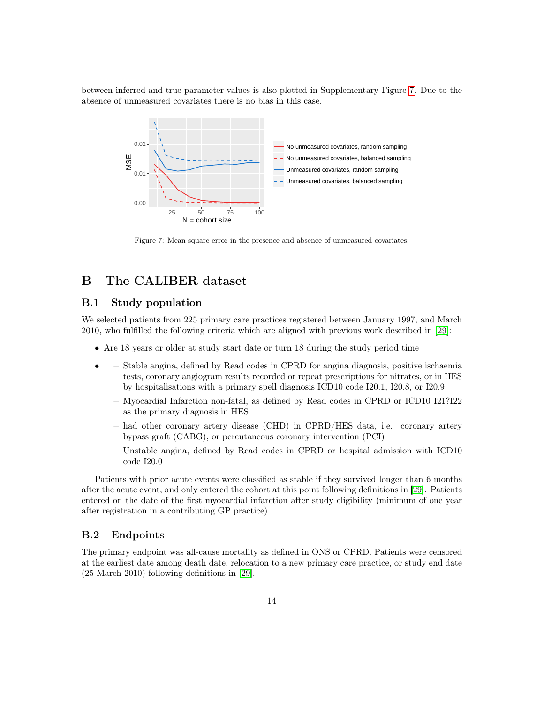<span id="page-13-0"></span>between inferred and true parameter values is also plotted in Supplementary Figure [7.](#page-13-0) Due to the absence of unmeasured covariates there is no bias in this case.



Figure 7: Mean square error in the presence and absence of unmeasured covariates.

# B The CALIBER dataset

#### B.1 Study population

We selected patients from 225 primary care practices registered between January 1997, and March 2010, who fulfilled the following criteria which are aligned with previous work described in [\[29\]](#page-11-8):

- Are 18 years or older at study start date or turn 18 during the study period time
- – Stable angina, defined by Read codes in CPRD for angina diagnosis, positive ischaemia tests, coronary angiogram results recorded or repeat prescriptions for nitrates, or in HES by hospitalisations with a primary spell diagnosis ICD10 code I20.1, I20.8, or I20.9
	- Myocardial Infarction non-fatal, as defined by Read codes in CPRD or ICD10 I21?I22 as the primary diagnosis in HES
	- had other coronary artery disease (CHD) in CPRD/HES data, i.e. coronary artery bypass graft (CABG), or percutaneous coronary intervention (PCI)
	- Unstable angina, defined by Read codes in CPRD or hospital admission with ICD10 code I20.0

Patients with prior acute events were classified as stable if they survived longer than 6 months after the acute event, and only entered the cohort at this point following definitions in [\[29\]](#page-11-8). Patients entered on the date of the first myocardial infarction after study eligibility (minimum of one year after registration in a contributing GP practice).

#### B.2 Endpoints

The primary endpoint was all-cause mortality as defined in ONS or CPRD. Patients were censored at the earliest date among death date, relocation to a new primary care practice, or study end date (25 March 2010) following definitions in [\[29\]](#page-11-8).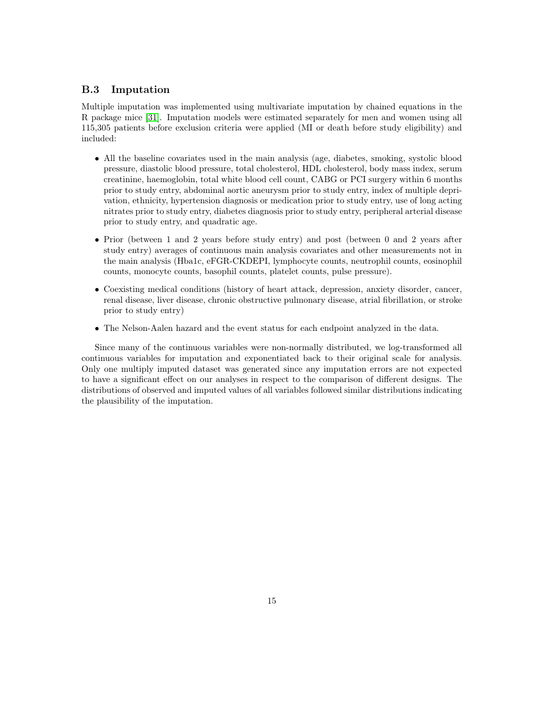#### B.3 Imputation

Multiple imputation was implemented using multivariate imputation by chained equations in the R package mice [\[31\]](#page-11-10). Imputation models were estimated separately for men and women using all 115,305 patients before exclusion criteria were applied (MI or death before study eligibility) and included:

- All the baseline covariates used in the main analysis (age, diabetes, smoking, systolic blood pressure, diastolic blood pressure, total cholesterol, HDL cholesterol, body mass index, serum creatinine, haemoglobin, total white blood cell count, CABG or PCI surgery within 6 months prior to study entry, abdominal aortic aneurysm prior to study entry, index of multiple deprivation, ethnicity, hypertension diagnosis or medication prior to study entry, use of long acting nitrates prior to study entry, diabetes diagnosis prior to study entry, peripheral arterial disease prior to study entry, and quadratic age.
- Prior (between 1 and 2 years before study entry) and post (between 0 and 2 years after study entry) averages of continuous main analysis covariates and other measurements not in the main analysis (Hba1c, eFGR-CKDEPI, lymphocyte counts, neutrophil counts, eosinophil counts, monocyte counts, basophil counts, platelet counts, pulse pressure).
- Coexisting medical conditions (history of heart attack, depression, anxiety disorder, cancer, renal disease, liver disease, chronic obstructive pulmonary disease, atrial fibrillation, or stroke prior to study entry)
- The Nelson-Aalen hazard and the event status for each endpoint analyzed in the data.

Since many of the continuous variables were non-normally distributed, we log-transformed all continuous variables for imputation and exponentiated back to their original scale for analysis. Only one multiply imputed dataset was generated since any imputation errors are not expected to have a significant effect on our analyses in respect to the comparison of different designs. The distributions of observed and imputed values of all variables followed similar distributions indicating the plausibility of the imputation.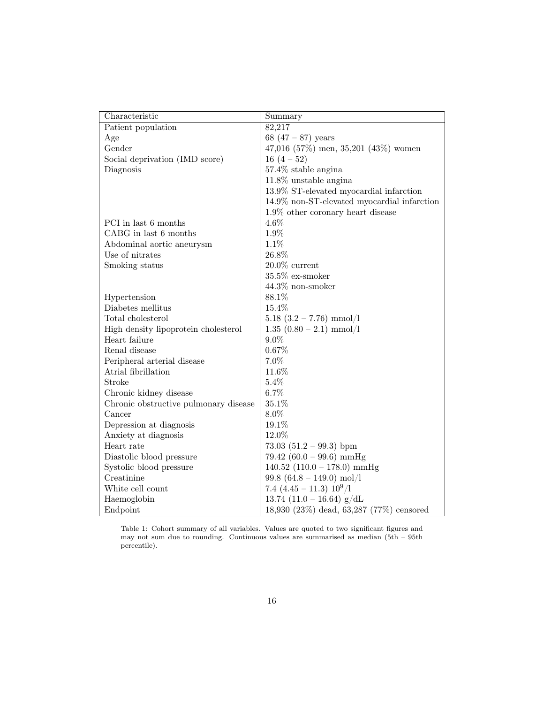| Characteristic                        | Summary                                     |  |  |
|---------------------------------------|---------------------------------------------|--|--|
| Patient population                    | 82,217                                      |  |  |
| Age                                   | 68 $(47 - 87)$ years                        |  |  |
| Gender                                | 47,016 (57%) men, 35,201 (43%) women        |  |  |
| Social deprivation (IMD score)        | $16(4-52)$                                  |  |  |
| Diagnosis                             | $57.4\%$ stable angina                      |  |  |
|                                       | $11.8\%$ unstable angina                    |  |  |
|                                       | 13.9% ST-elevated myocardial infarction     |  |  |
|                                       | 14.9% non-ST-elevated myocardial infarction |  |  |
|                                       | $1.9\%$ other coronary heart disease        |  |  |
| PCI in last 6 months                  | $4.6\%$                                     |  |  |
| CABG in last 6 months                 | 1.9%                                        |  |  |
| Abdominal aortic aneurysm             | 1.1%                                        |  |  |
| Use of nitrates                       | $26.8\%$                                    |  |  |
| Smoking status                        | $20.0\%$ current                            |  |  |
|                                       | $35.5\%$ ex-smoker                          |  |  |
|                                       | $44.3\%$ non-smoker                         |  |  |
| Hypertension                          | 88.1%                                       |  |  |
| Diabetes mellitus                     | 15.4%                                       |  |  |
| Total cholesterol                     | $5.18$ $(3.2 - 7.76)$ mmol/l                |  |  |
| High density lipoprotein cholesterol  | $1.35$ $(0.80 - 2.1)$ mmol/l                |  |  |
| Heart failure                         | $9.0\%$                                     |  |  |
| Renal disease                         | 0.67%                                       |  |  |
| Peripheral arterial disease           | 7.0%                                        |  |  |
| Atrial fibrillation                   | 11.6%                                       |  |  |
| Stroke                                | 5.4%                                        |  |  |
| Chronic kidney disease                | 6.7%                                        |  |  |
| Chronic obstructive pulmonary disease | 35.1%                                       |  |  |
| Cancer                                | 8.0%                                        |  |  |
| Depression at diagnosis               | 19.1%                                       |  |  |
| Anxiety at diagnosis                  | 12.0%                                       |  |  |
| Heart rate                            | 73.03 $(51.2 - 99.3)$ bpm                   |  |  |
| Diastolic blood pressure              | 79.42 $(60.0 - 99.6)$ mmHg                  |  |  |
| Systolic blood pressure               | 140.52 $(110.0 - 178.0)$ mmHg               |  |  |
| Creatinine                            | $99.8$ (64.8 - 149.0) mol/l                 |  |  |
| White cell count                      | 7.4 $(4.45 - 11.3)$ $10^9/l$                |  |  |
| Haemoglobin                           | 13.74 $(11.0 - 16.64)$ g/dL                 |  |  |
| Endpoint                              | 18,930 (23%) dead, 63,287 (77%) censored    |  |  |

Table 1: Cohort summary of all variables. Values are quoted to two significant figures and may not sum due to rounding. Continuous values are summarised as median (5th – 95th percentile).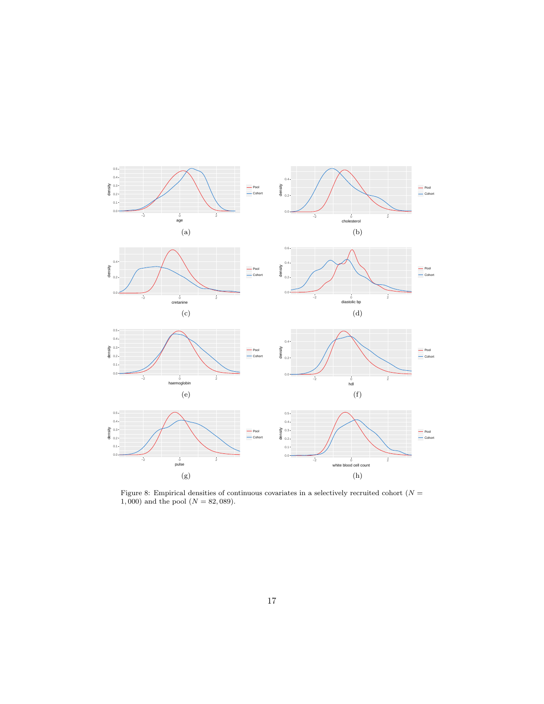

Figure 8: Empirical densities of continuous covariates in a selectively recruited cohort ( $N =$ 1,000) and the pool  $(N = 82,089)$ .